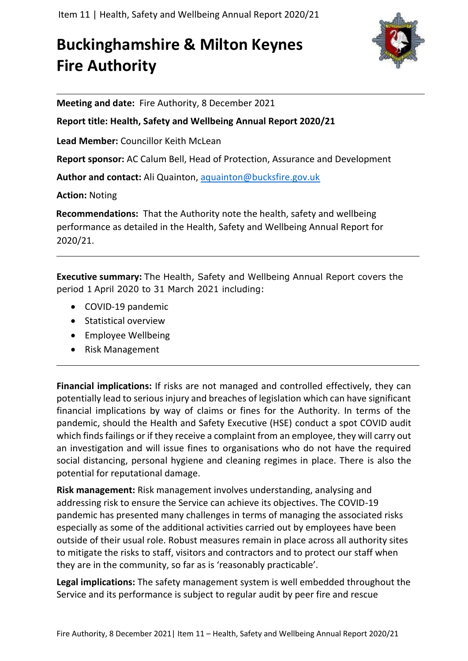## **Buckinghamshire & Milton Keynes Fire Authority**



**Meeting and date:** Fire Authority, 8 December 2021

**Report title: Health, Safety and Wellbeing Annual Report 2020/21**

**Lead Member:** Councillor Keith McLean

**Report sponsor:** AC Calum Bell, Head of Protection, Assurance and Development

**Author and contact:** Ali Quainton, [aquainton@bucksfire.gov.uk](mailto:aquainton@bucksfire.gov.uk)

**Action:** Noting

**Recommendations:** That the Authority note the health, safety and wellbeing performance as detailed in the Health, Safety and Wellbeing Annual Report for 2020/21.

**Executive summary:** The Health, Safety and Wellbeing Annual Report covers the period 1 April 2020 to 31 March 2021 including:

- COVID-19 pandemic
- Statistical overview
- Employee Wellbeing
- Risk Management

**Financial implications:** If risks are not managed and controlled effectively, they can potentially lead to serious injury and breaches of legislation which can have significant financial implications by way of claims or fines for the Authority. In terms of the pandemic, should the Health and Safety Executive (HSE) conduct a spot COVID audit which finds failings or if they receive a complaint from an employee, they will carry out an investigation and will issue fines to organisations who do not have the required social distancing, personal hygiene and cleaning regimes in place. There is also the potential for reputational damage.

**Risk management:** Risk management involves understanding, analysing and addressing risk to ensure the Service can achieve its objectives. The COVID-19 pandemic has presented many challenges in terms of managing the associated risks especially as some of the additional activities carried out by employees have been outside of their usual role. Robust measures remain in place across all authority sites to mitigate the risks to staff, visitors and contractors and to protect our staff when they are in the community, so far as is 'reasonably practicable'.

**Legal implications:** The safety management system is well embedded throughout the Service and its performance is subject to regular audit by peer fire and rescue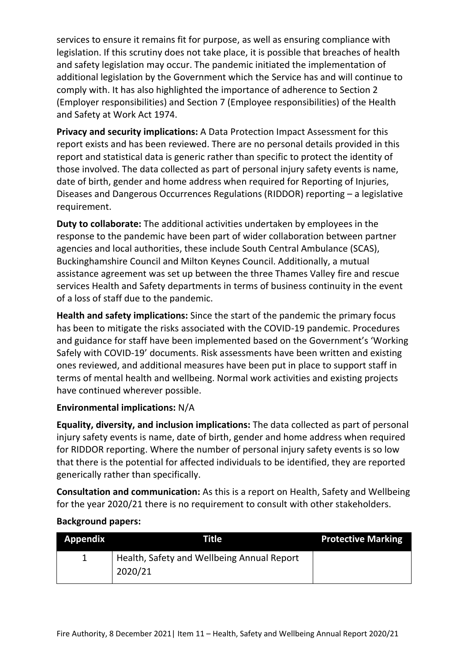services to ensure it remains fit for purpose, as well as ensuring compliance with legislation. If this scrutiny does not take place, it is possible that breaches of health and safety legislation may occur. The pandemic initiated the implementation of additional legislation by the Government which the Service has and will continue to comply with. It has also highlighted the importance of adherence to Section 2 (Employer responsibilities) and Section 7 (Employee responsibilities) of the Health and Safety at Work Act 1974.

**Privacy and security implications:** A Data Protection Impact Assessment for this report exists and has been reviewed. There are no personal details provided in this report and statistical data is generic rather than specific to protect the identity of those involved. The data collected as part of personal injury safety events is name, date of birth, gender and home address when required for Reporting of Injuries, Diseases and Dangerous Occurrences Regulations (RIDDOR) reporting – a legislative requirement.

**Duty to collaborate:** The additional activities undertaken by employees in the response to the pandemic have been part of wider collaboration between partner agencies and local authorities, these include South Central Ambulance (SCAS), Buckinghamshire Council and Milton Keynes Council. Additionally, a mutual assistance agreement was set up between the three Thames Valley fire and rescue services Health and Safety departments in terms of business continuity in the event of a loss of staff due to the pandemic.

**Health and safety implications:** Since the start of the pandemic the primary focus has been to mitigate the risks associated with the COVID-19 pandemic. Procedures and guidance for staff have been implemented based on the Government's 'Working Safely with COVID-19' documents. Risk assessments have been written and existing ones reviewed, and additional measures have been put in place to support staff in terms of mental health and wellbeing. Normal work activities and existing projects have continued wherever possible.

#### **Environmental implications:** N/A

**Equality, diversity, and inclusion implications:** The data collected as part of personal injury safety events is name, date of birth, gender and home address when required for RIDDOR reporting. Where the number of personal injury safety events is so low that there is the potential for affected individuals to be identified, they are reported generically rather than specifically.

**Consultation and communication:** As this is a report on Health, Safety and Wellbeing for the year 2020/21 there is no requirement to consult with other stakeholders.

#### **Background papers:**

| Appendix | Title                                                 | <b>Protective Marking</b> |
|----------|-------------------------------------------------------|---------------------------|
|          | Health, Safety and Wellbeing Annual Report<br>2020/21 |                           |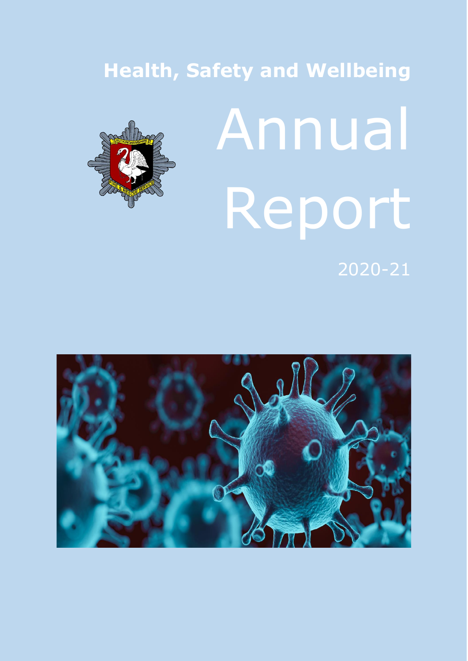# **Health, Safety and Wellbeing**



# Annual Report

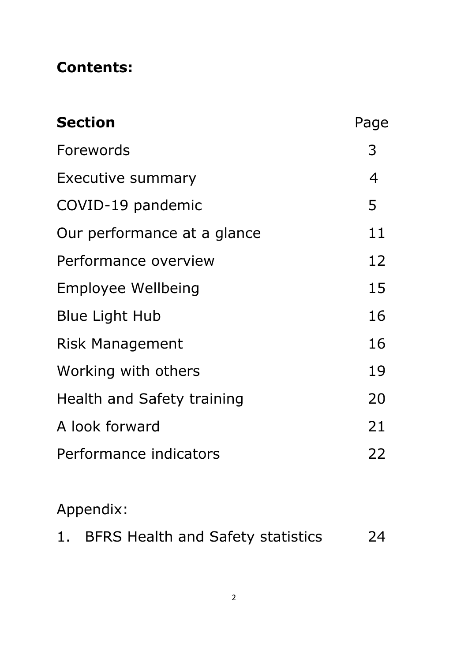#### **Contents:**

| <b>Section</b>              | Page           |
|-----------------------------|----------------|
| Forewords                   | 3              |
| Executive summary           | $\overline{4}$ |
| COVID-19 pandemic           | 5              |
| Our performance at a glance | 11             |
| Performance overview        | 12             |
| Employee Wellbeing          | 15             |
| <b>Blue Light Hub</b>       | 16             |
| <b>Risk Management</b>      | 16             |
| Working with others         | 19             |
| Health and Safety training  | 20             |
| A look forward              | 21             |
| Performance indicators      | 22             |

## Appendix:

| <b>BFRS Health and Safety statistics</b><br>1 <sub>1</sub> | 24 |
|------------------------------------------------------------|----|
|------------------------------------------------------------|----|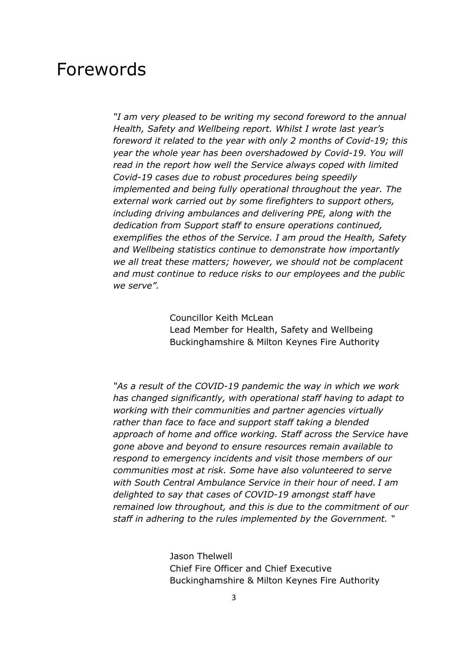#### Forewords

*"I am very pleased to be writing my second foreword to the annual Health, Safety and Wellbeing report. Whilst I wrote last year's foreword it related to the year with only 2 months of Covid-19; this year the whole year has been overshadowed by Covid-19. You will read in the report how well the Service always coped with limited Covid-19 cases due to robust procedures being speedily implemented and being fully operational throughout the year. The external work carried out by some firefighters to support others, including driving ambulances and delivering PPE, along with the dedication from Support staff to ensure operations continued, exemplifies the ethos of the Service. I am proud the Health, Safety and Wellbeing statistics continue to demonstrate how importantly we all treat these matters; however, we should not be complacent and must continue to reduce risks to our employees and the public we serve".*

> Councillor Keith McLean Lead Member for Health, Safety and Wellbeing Buckinghamshire & Milton Keynes Fire Authority

*"As a result of the COVID-19 pandemic the way in which we work has changed significantly, with operational staff having to adapt to working with their communities and partner agencies virtually rather than face to face and support staff taking a blended approach of home and office working. Staff across the Service have gone above and beyond to ensure resources remain available to respond to emergency incidents and visit those members of our communities most at risk. Some have also volunteered to serve with South Central Ambulance Service in their hour of need. I am delighted to say that cases of COVID-19 amongst staff have remained low throughout, and this is due to the commitment of our staff in adhering to the rules implemented by the Government. "*

> Jason Thelwell Chief Fire Officer and Chief Executive Buckinghamshire & Milton Keynes Fire Authority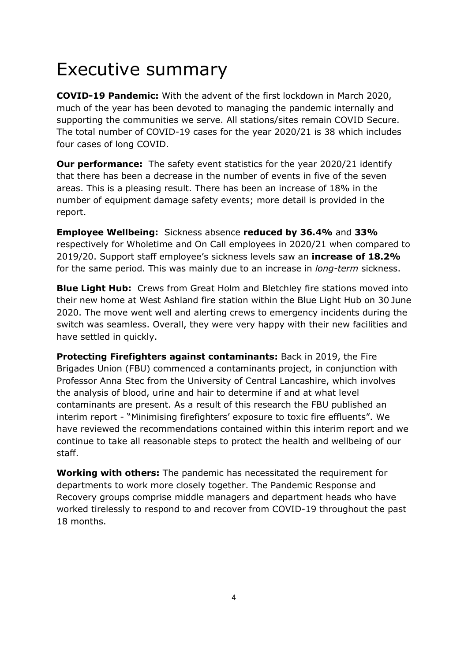## Executive summary

**COVID-19 Pandemic:** With the advent of the first lockdown in March 2020, much of the year has been devoted to managing the pandemic internally and supporting the communities we serve. All stations/sites remain COVID Secure. The total number of COVID-19 cases for the year 2020/21 is 38 which includes four cases of long COVID.

**Our performance:** The safety event statistics for the year 2020/21 identify that there has been a decrease in the number of events in five of the seven areas. This is a pleasing result. There has been an increase of 18% in the number of equipment damage safety events; more detail is provided in the report.

**Employee Wellbeing:** Sickness absence **reduced by 36.4%** and **33%**  respectively for Wholetime and On Call employees in 2020/21 when compared to 2019/20. Support staff employee's sickness levels saw an **increase of 18.2%**  for the same period. This was mainly due to an increase in *long-term* sickness.

**Blue Light Hub:** Crews from Great Holm and Bletchley fire stations moved into their new home at West Ashland fire station within the Blue Light Hub on 30 June 2020. The move went well and alerting crews to emergency incidents during the switch was seamless. Overall, they were very happy with their new facilities and have settled in quickly.

**Protecting Firefighters against contaminants:** Back in 2019, the Fire Brigades Union (FBU) commenced a contaminants project, in conjunction with Professor Anna Stec from the University of Central Lancashire, which involves the analysis of blood, urine and hair to determine if and at what level contaminants are present. As a result of this research the FBU published an interim report - "Minimising firefighters' exposure to toxic fire effluents". We have reviewed the recommendations contained within this interim report and we continue to take all reasonable steps to protect the health and wellbeing of our staff.

**Working with others:** The pandemic has necessitated the requirement for departments to work more closely together. The Pandemic Response and Recovery groups comprise middle managers and department heads who have worked tirelessly to respond to and recover from COVID-19 throughout the past 18 months.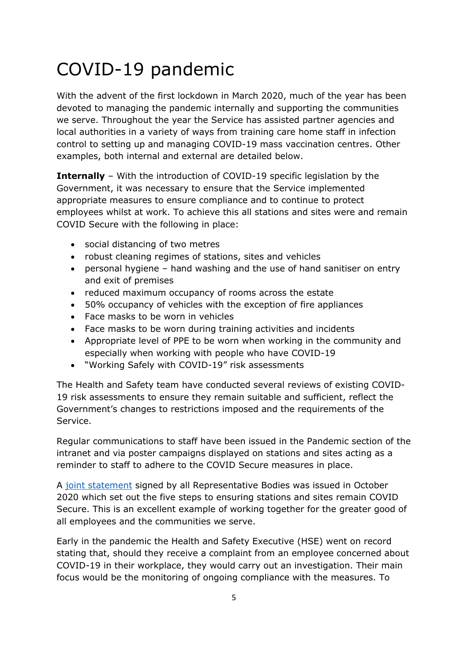## COVID-19 pandemic

With the advent of the first lockdown in March 2020, much of the year has been devoted to managing the pandemic internally and supporting the communities we serve. Throughout the year the Service has assisted partner agencies and local authorities in a variety of ways from training care home staff in infection control to setting up and managing COVID-19 mass vaccination centres. Other examples, both internal and external are detailed below.

**Internally** – With the introduction of COVID-19 specific legislation by the Government, it was necessary to ensure that the Service implemented appropriate measures to ensure compliance and to continue to protect employees whilst at work. To achieve this all stations and sites were and remain COVID Secure with the following in place:

- social distancing of two metres
- robust cleaning regimes of stations, sites and vehicles
- personal hygiene hand washing and the use of hand sanitiser on entry and exit of premises
- reduced maximum occupancy of rooms across the estate
- 50% occupancy of vehicles with the exception of fire appliances
- Face masks to be worn in vehicles
- Face masks to be worn during training activities and incidents
- Appropriate level of PPE to be worn when working in the community and especially when working with people who have COVID-19
- "Working Safely with COVID-19" risk assessments

The Health and Safety team have conducted several reviews of existing COVID-19 risk assessments to ensure they remain suitable and sufficient, reflect the Government's changes to restrictions imposed and the requirements of the Service.

Regular communications to staff have been issued in the Pandemic section of the intranet and via poster campaigns displayed on stations and sites acting as a reminder to staff to adhere to the COVID Secure measures in place.

A [joint statement](file://///FRSRV44/BFRS-DATA/Service%20Support/Health%20Safety%20&%20Welfare/Department%20Only/Team%20Docs/Covid%2019%20(Coronavirus)/Internal%20communications/Joint%20Statement%20COVID-19%20Secure%20Premises%20(2).pdf) signed by all Representative Bodies was issued in October 2020 which set out the five steps to ensuring stations and sites remain COVID Secure. This is an excellent example of working together for the greater good of all employees and the communities we serve.

Early in the pandemic the Health and Safety Executive (HSE) went on record stating that, should they receive a complaint from an employee concerned about COVID-19 in their workplace, they would carry out an investigation. Their main focus would be the monitoring of ongoing compliance with the measures. To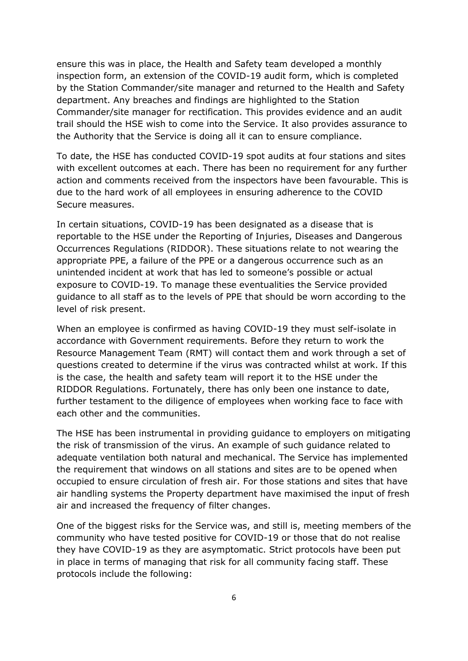ensure this was in place, the Health and Safety team developed a monthly inspection form, an extension of the COVID-19 audit form, which is completed by the Station Commander/site manager and returned to the Health and Safety department. Any breaches and findings are highlighted to the Station Commander/site manager for rectification. This provides evidence and an audit trail should the HSE wish to come into the Service. It also provides assurance to the Authority that the Service is doing all it can to ensure compliance.

To date, the HSE has conducted COVID-19 spot audits at four stations and sites with excellent outcomes at each. There has been no requirement for any further action and comments received from the inspectors have been favourable. This is due to the hard work of all employees in ensuring adherence to the COVID Secure measures.

In certain situations, COVID-19 has been designated as a disease that is reportable to the HSE under the Reporting of Injuries, Diseases and Dangerous Occurrences Regulations (RIDDOR). These situations relate to not wearing the appropriate PPE, a failure of the PPE or a dangerous occurrence such as an unintended incident at work that has led to someone's possible or actual exposure to COVID-19. To manage these eventualities the Service provided guidance to all staff as to the levels of PPE that should be worn according to the level of risk present.

When an employee is confirmed as having COVID-19 they must self-isolate in accordance with Government requirements. Before they return to work the Resource Management Team (RMT) will contact them and work through a set of questions created to determine if the virus was contracted whilst at work. If this is the case, the health and safety team will report it to the HSE under the RIDDOR Regulations. Fortunately, there has only been one instance to date, further testament to the diligence of employees when working face to face with each other and the communities.

The HSE has been instrumental in providing guidance to employers on mitigating the risk of transmission of the virus. An example of such guidance related to adequate ventilation both natural and mechanical. The Service has implemented the requirement that windows on all stations and sites are to be opened when occupied to ensure circulation of fresh air. For those stations and sites that have air handling systems the Property department have maximised the input of fresh air and increased the frequency of filter changes.

One of the biggest risks for the Service was, and still is, meeting members of the community who have tested positive for COVID-19 or those that do not realise they have COVID-19 as they are asymptomatic. Strict protocols have been put in place in terms of managing that risk for all community facing staff. These protocols include the following: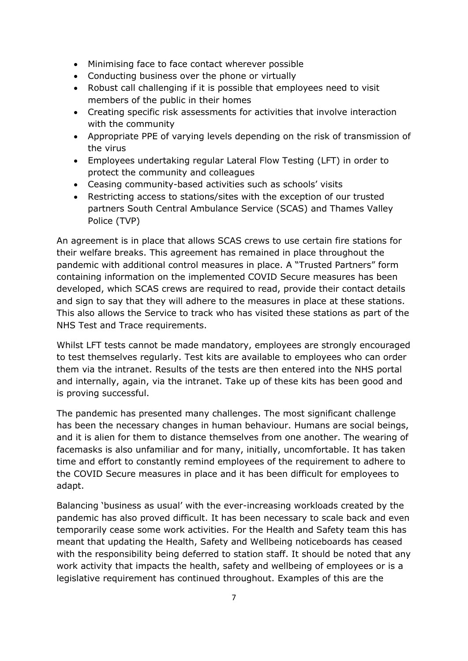- Minimising face to face contact wherever possible
- Conducting business over the phone or virtually
- Robust call challenging if it is possible that employees need to visit members of the public in their homes
- Creating specific risk assessments for activities that involve interaction with the community
- Appropriate PPE of varying levels depending on the risk of transmission of the virus
- Employees undertaking regular Lateral Flow Testing (LFT) in order to protect the community and colleagues
- Ceasing community-based activities such as schools' visits
- Restricting access to stations/sites with the exception of our trusted partners South Central Ambulance Service (SCAS) and Thames Valley Police (TVP)

An agreement is in place that allows SCAS crews to use certain fire stations for their welfare breaks. This agreement has remained in place throughout the pandemic with additional control measures in place. A "Trusted Partners" form containing information on the implemented COVID Secure measures has been developed, which SCAS crews are required to read, provide their contact details and sign to say that they will adhere to the measures in place at these stations. This also allows the Service to track who has visited these stations as part of the NHS Test and Trace requirements.

Whilst LFT tests cannot be made mandatory, employees are strongly encouraged to test themselves regularly. Test kits are available to employees who can order them via the intranet. Results of the tests are then entered into the NHS portal and internally, again, via the intranet. Take up of these kits has been good and is proving successful.

The pandemic has presented many challenges. The most significant challenge has been the necessary changes in human behaviour. Humans are social beings, and it is alien for them to distance themselves from one another. The wearing of facemasks is also unfamiliar and for many, initially, uncomfortable. It has taken time and effort to constantly remind employees of the requirement to adhere to the COVID Secure measures in place and it has been difficult for employees to adapt.

Balancing 'business as usual' with the ever-increasing workloads created by the pandemic has also proved difficult. It has been necessary to scale back and even temporarily cease some work activities. For the Health and Safety team this has meant that updating the Health, Safety and Wellbeing noticeboards has ceased with the responsibility being deferred to station staff. It should be noted that any work activity that impacts the health, safety and wellbeing of employees or is a legislative requirement has continued throughout. Examples of this are the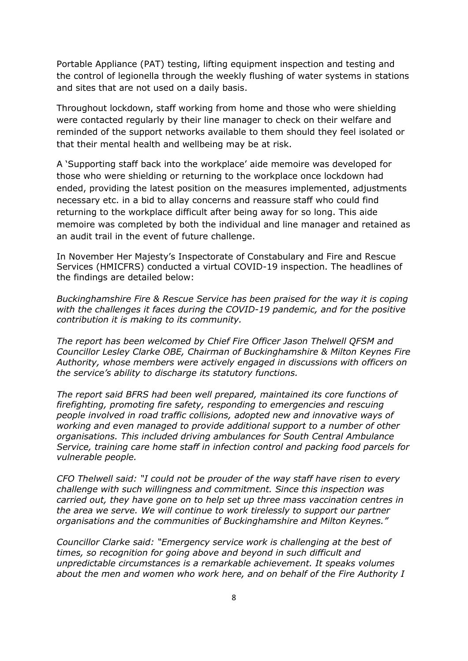Portable Appliance (PAT) testing, lifting equipment inspection and testing and the control of legionella through the weekly flushing of water systems in stations and sites that are not used on a daily basis.

Throughout lockdown, staff working from home and those who were shielding were contacted regularly by their line manager to check on their welfare and reminded of the support networks available to them should they feel isolated or that their mental health and wellbeing may be at risk.

A 'Supporting staff back into the workplace' aide memoire was developed for those who were shielding or returning to the workplace once lockdown had ended, providing the latest position on the measures implemented, adjustments necessary etc. in a bid to allay concerns and reassure staff who could find returning to the workplace difficult after being away for so long. This aide memoire was completed by both the individual and line manager and retained as an audit trail in the event of future challenge.

In November Her Majesty's Inspectorate of Constabulary and Fire and Rescue Services (HMICFRS) conducted a virtual COVID-19 inspection. The headlines of the findings are detailed below:

*Buckinghamshire Fire & Rescue Service has been praised for the way it is coping with the challenges it faces during the COVID-19 pandemic, and for the positive contribution it is making to its community.*

*The report has been welcomed by Chief Fire Officer Jason Thelwell QFSM and Councillor Lesley Clarke OBE, Chairman of Buckinghamshire & Milton Keynes Fire Authority, whose members were actively engaged in discussions with officers on the service's ability to discharge its statutory functions.*

*The report said BFRS had been well prepared, maintained its core functions of firefighting, promoting fire safety, responding to emergencies and rescuing people involved in road traffic collisions, adopted new and innovative ways of working and even managed to provide additional support to a number of other organisations. This included driving ambulances for South Central Ambulance Service, training care home staff in infection control and packing food parcels for vulnerable people.*

*CFO Thelwell said: "I could not be prouder of the way staff have risen to every challenge with such willingness and commitment. Since this inspection was carried out, they have gone on to help set up three mass vaccination centres in the area we serve. We will continue to work tirelessly to support our partner organisations and the communities of Buckinghamshire and Milton Keynes."*

*Councillor Clarke said: "Emergency service work is challenging at the best of times, so recognition for going above and beyond in such difficult and unpredictable circumstances is a remarkable achievement. It speaks volumes about the men and women who work here, and on behalf of the Fire Authority I*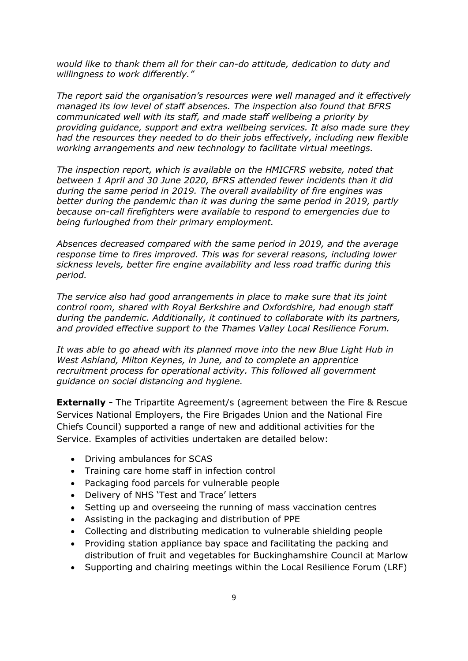*would like to thank them all for their can-do attitude, dedication to duty and willingness to work differently."*

*The report said the organisation's resources were well managed and it effectively managed its low level of staff absences. The inspection also found that BFRS communicated well with its staff, and made staff wellbeing a priority by providing guidance, support and extra wellbeing services. It also made sure they had the resources they needed to do their jobs effectively, including new flexible working arrangements and new technology to facilitate virtual meetings.*

*The inspection report, which is available on the HMICFRS website, noted that between 1 April and 30 June 2020, BFRS attended fewer incidents than it did during the same period in 2019. The overall availability of fire engines was better during the pandemic than it was during the same period in 2019, partly because on-call firefighters were available to respond to emergencies due to being furloughed from their primary employment.*

*Absences decreased compared with the same period in 2019, and the average response time to fires improved. This was for several reasons, including lower sickness levels, better fire engine availability and less road traffic during this period.*

*The service also had good arrangements in place to make sure that its joint control room, shared with Royal Berkshire and Oxfordshire, had enough staff during the pandemic. Additionally, it continued to collaborate with its partners, and provided effective support to the Thames Valley Local Resilience Forum.*

*It was able to go ahead with its planned move into the new Blue Light Hub in West Ashland, Milton Keynes, in June, and to complete an apprentice recruitment process for operational activity. This followed all government guidance on social distancing and hygiene.*

**Externally -** The Tripartite Agreement/s (agreement between the Fire & Rescue Services National Employers, the Fire Brigades Union and the National Fire Chiefs Council) supported a range of new and additional activities for the Service. Examples of activities undertaken are detailed below:

- Driving ambulances for SCAS
- Training care home staff in infection control
- Packaging food parcels for vulnerable people
- Delivery of NHS 'Test and Trace' letters
- Setting up and overseeing the running of mass vaccination centres
- Assisting in the packaging and distribution of PPE
- Collecting and distributing medication to vulnerable shielding people
- Providing station appliance bay space and facilitating the packing and distribution of fruit and vegetables for Buckinghamshire Council at Marlow
- Supporting and chairing meetings within the Local Resilience Forum (LRF)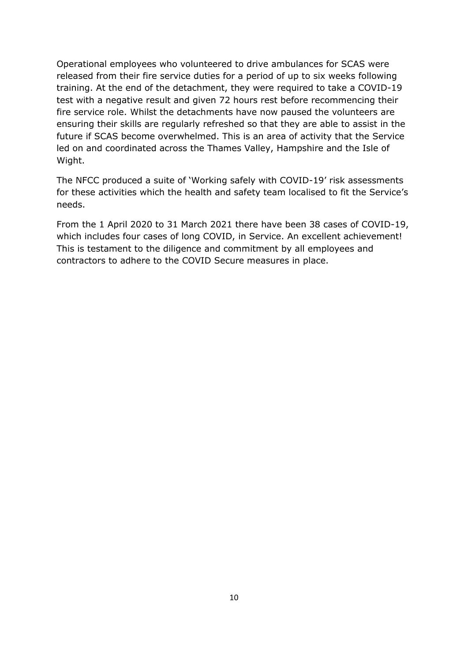Operational employees who volunteered to drive ambulances for SCAS were released from their fire service duties for a period of up to six weeks following training. At the end of the detachment, they were required to take a COVID-19 test with a negative result and given 72 hours rest before recommencing their fire service role. Whilst the detachments have now paused the volunteers are ensuring their skills are regularly refreshed so that they are able to assist in the future if SCAS become overwhelmed. This is an area of activity that the Service led on and coordinated across the Thames Valley, Hampshire and the Isle of Wight.

The NFCC produced a suite of 'Working safely with COVID-19' risk assessments for these activities which the health and safety team localised to fit the Service's needs.

From the 1 April 2020 to 31 March 2021 there have been 38 cases of COVID-19, which includes four cases of long COVID, in Service. An excellent achievement! This is testament to the diligence and commitment by all employees and contractors to adhere to the COVID Secure measures in place.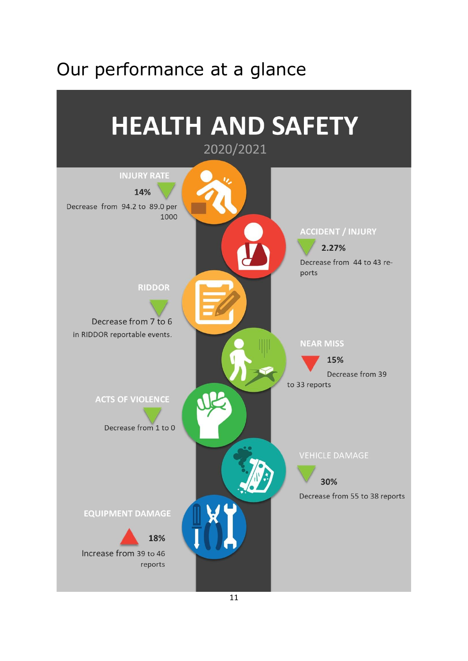## Our performance at a glance

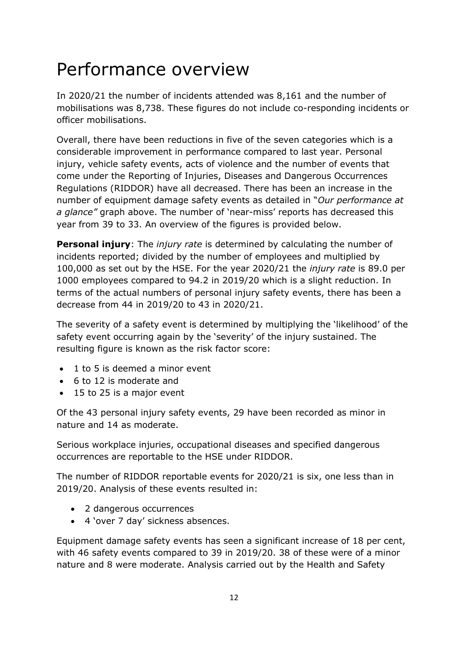## Performance overview

In 2020/21 the number of incidents attended was 8,161 and the number of mobilisations was 8,738. These figures do not include co-responding incidents or officer mobilisations.

Overall, there have been reductions in five of the seven categories which is a considerable improvement in performance compared to last year. Personal injury, vehicle safety events, acts of violence and the number of events that come under the Reporting of Injuries, Diseases and Dangerous Occurrences Regulations (RIDDOR) have all decreased. There has been an increase in the number of equipment damage safety events as detailed in "*Our performance at a glance"* graph above. The number of 'near-miss' reports has decreased this year from 39 to 33. An overview of the figures is provided below.

**Personal injury**: The *injury rate* is determined by calculating the number of incidents reported; divided by the number of employees and multiplied by 100,000 as set out by the HSE. For the year 2020/21 the *injury rate* is 89.0 per 1000 employees compared to 94.2 in 2019/20 which is a slight reduction. In terms of the actual numbers of personal injury safety events, there has been a decrease from 44 in 2019/20 to 43 in 2020/21.

The severity of a safety event is determined by multiplying the 'likelihood' of the safety event occurring again by the 'severity' of the injury sustained. The resulting figure is known as the risk factor score:

- 1 to 5 is deemed a minor event
- 6 to 12 is moderate and
- 15 to 25 is a major event

Of the 43 personal injury safety events, 29 have been recorded as minor in nature and 14 as moderate.

Serious workplace injuries, occupational diseases and specified dangerous occurrences are reportable to the HSE under RIDDOR.

The number of RIDDOR reportable events for 2020/21 is six, one less than in 2019/20. Analysis of these events resulted in:

- 2 dangerous occurrences
- 4 'over 7 day' sickness absences.

Equipment damage safety events has seen a significant increase of 18 per cent, with 46 safety events compared to 39 in 2019/20. 38 of these were of a minor nature and 8 were moderate. Analysis carried out by the Health and Safety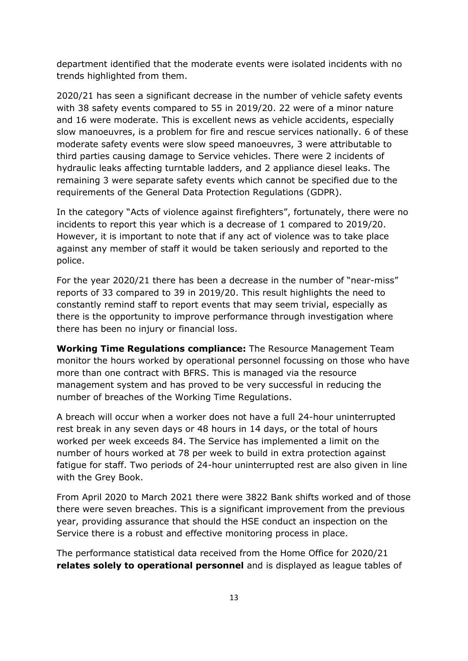department identified that the moderate events were isolated incidents with no trends highlighted from them.

2020/21 has seen a significant decrease in the number of vehicle safety events with 38 safety events compared to 55 in 2019/20. 22 were of a minor nature and 16 were moderate. This is excellent news as vehicle accidents, especially slow manoeuvres, is a problem for fire and rescue services nationally. 6 of these moderate safety events were slow speed manoeuvres, 3 were attributable to third parties causing damage to Service vehicles. There were 2 incidents of hydraulic leaks affecting turntable ladders, and 2 appliance diesel leaks. The remaining 3 were separate safety events which cannot be specified due to the requirements of the General Data Protection Regulations (GDPR).

In the category "Acts of violence against firefighters", fortunately, there were no incidents to report this year which is a decrease of 1 compared to 2019/20. However, it is important to note that if any act of violence was to take place against any member of staff it would be taken seriously and reported to the police.

For the year 2020/21 there has been a decrease in the number of "near-miss" reports of 33 compared to 39 in 2019/20. This result highlights the need to constantly remind staff to report events that may seem trivial, especially as there is the opportunity to improve performance through investigation where there has been no injury or financial loss.

**Working Time Regulations compliance:** The Resource Management Team monitor the hours worked by operational personnel focussing on those who have more than one contract with BFRS. This is managed via the resource management system and has proved to be very successful in reducing the number of breaches of the Working Time Regulations.

A breach will occur when a worker does not have a full 24-hour uninterrupted rest break in any seven days or 48 hours in 14 days, or the total of hours worked per week exceeds 84. The Service has implemented a limit on the number of hours worked at 78 per week to build in extra protection against fatigue for staff. Two periods of 24-hour uninterrupted rest are also given in line with the Grey Book.

From April 2020 to March 2021 there were 3822 Bank shifts worked and of those there were seven breaches. This is a significant improvement from the previous year, providing assurance that should the HSE conduct an inspection on the Service there is a robust and effective monitoring process in place.

The performance statistical data received from the Home Office for 2020/21 **relates solely to operational personnel** and is displayed as league tables of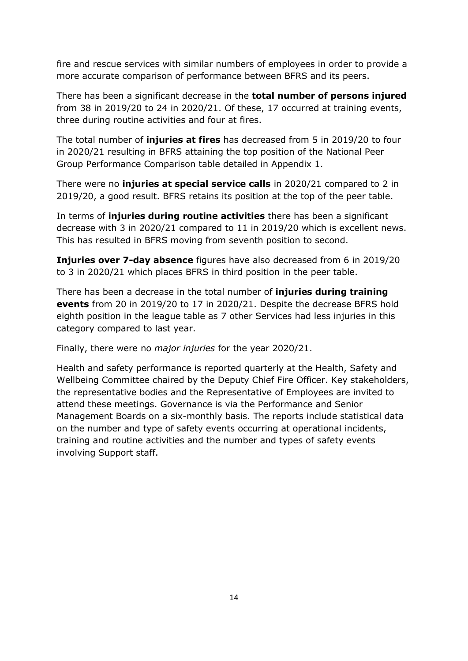fire and rescue services with similar numbers of employees in order to provide a more accurate comparison of performance between BFRS and its peers.

There has been a significant decrease in the **total number of persons injured**  from 38 in 2019/20 to 24 in 2020/21. Of these, 17 occurred at training events, three during routine activities and four at fires.

The total number of **injuries at fires** has decreased from 5 in 2019/20 to four in 2020/21 resulting in BFRS attaining the top position of the National Peer Group Performance Comparison table detailed in Appendix 1.

There were no **injuries at special service calls** in 2020/21 compared to 2 in 2019/20, a good result. BFRS retains its position at the top of the peer table.

In terms of **injuries during routine activities** there has been a significant decrease with 3 in 2020/21 compared to 11 in 2019/20 which is excellent news. This has resulted in BFRS moving from seventh position to second.

**Injuries over 7-day absence** figures have also decreased from 6 in 2019/20 to 3 in 2020/21 which places BFRS in third position in the peer table.

There has been a decrease in the total number of **injuries during training events** from 20 in 2019/20 to 17 in 2020/21. Despite the decrease BFRS hold eighth position in the league table as 7 other Services had less injuries in this category compared to last year.

Finally, there were no *major injuries* for the year 2020/21.

Health and safety performance is reported quarterly at the Health, Safety and Wellbeing Committee chaired by the Deputy Chief Fire Officer. Key stakeholders, the representative bodies and the Representative of Employees are invited to attend these meetings. Governance is via the Performance and Senior Management Boards on a six-monthly basis. The reports include statistical data on the number and type of safety events occurring at operational incidents, training and routine activities and the number and types of safety events involving Support staff.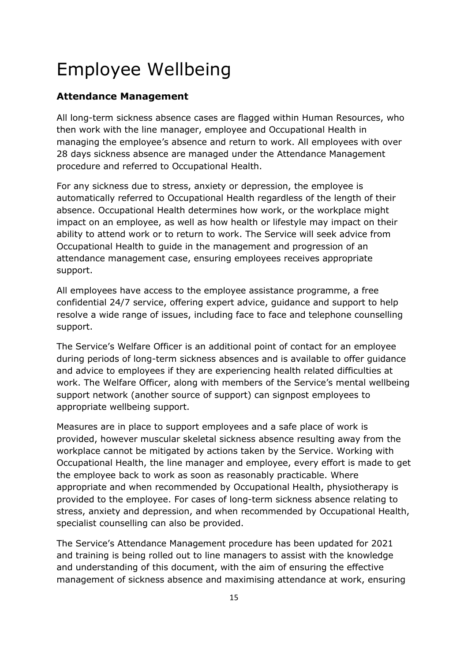## Employee Wellbeing

#### **Attendance Management**

All long-term sickness absence cases are flagged within Human Resources, who then work with the line manager, employee and Occupational Health in managing the employee's absence and return to work. All employees with over 28 days sickness absence are managed under the Attendance Management procedure and referred to Occupational Health.

For any sickness due to stress, anxiety or depression, the employee is automatically referred to Occupational Health regardless of the length of their absence. Occupational Health determines how work, or the workplace might impact on an employee, as well as how health or lifestyle may impact on their ability to attend work or to return to work. The Service will seek advice from Occupational Health to guide in the management and progression of an attendance management case, ensuring employees receives appropriate support.

All employees have access to the employee assistance programme, a free confidential 24/7 service, offering expert advice, guidance and support to help resolve a wide range of issues, including face to face and telephone counselling support.

The Service's Welfare Officer is an additional point of contact for an employee during periods of long-term sickness absences and is available to offer guidance and advice to employees if they are experiencing health related difficulties at work. The Welfare Officer, along with members of the Service's mental wellbeing support network (another source of support) can signpost employees to appropriate wellbeing support.

Measures are in place to support employees and a safe place of work is provided, however muscular skeletal sickness absence resulting away from the workplace cannot be mitigated by actions taken by the Service. Working with Occupational Health, the line manager and employee, every effort is made to get the employee back to work as soon as reasonably practicable. Where appropriate and when recommended by Occupational Health, physiotherapy is provided to the employee. For cases of long-term sickness absence relating to stress, anxiety and depression, and when recommended by Occupational Health, specialist counselling can also be provided.

The Service's Attendance Management procedure has been updated for 2021 and training is being rolled out to line managers to assist with the knowledge and understanding of this document, with the aim of ensuring the effective management of sickness absence and maximising attendance at work, ensuring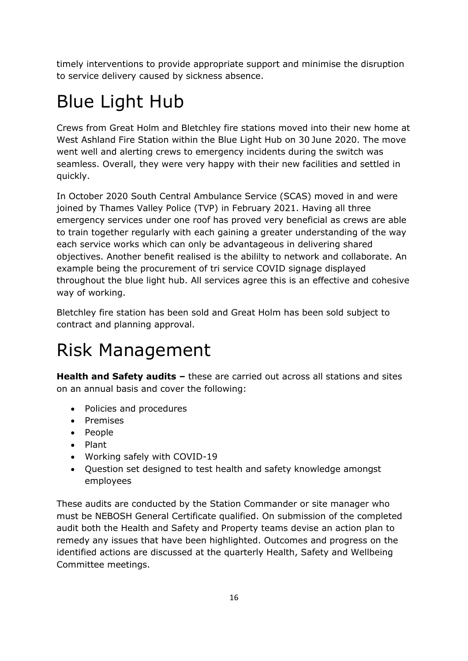timely interventions to provide appropriate support and minimise the disruption to service delivery caused by sickness absence.

# Blue Light Hub

Crews from Great Holm and Bletchley fire stations moved into their new home at West Ashland Fire Station within the Blue Light Hub on 30 June 2020. The move went well and alerting crews to emergency incidents during the switch was seamless. Overall, they were very happy with their new facilities and settled in quickly.

In October 2020 South Central Ambulance Service (SCAS) moved in and were joined by Thames Valley Police (TVP) in February 2021. Having all three emergency services under one roof has proved very beneficial as crews are able to train together regularly with each gaining a greater understanding of the way each service works which can only be advantageous in delivering shared objectives. Another benefit realised is the abililty to network and collaborate. An example being the procurement of tri service COVID signage displayed throughout the blue light hub. All services agree this is an effective and cohesive way of working.

Bletchley fire station has been sold and Great Holm has been sold subject to contract and planning approval.

## Risk Management

**Health and Safety audits –** these are carried out across all stations and sites on an annual basis and cover the following:

- Policies and procedures
- Premises
- People
- Plant
- Working safely with COVID-19
- Question set designed to test health and safety knowledge amongst employees

These audits are conducted by the Station Commander or site manager who must be NEBOSH General Certificate qualified. On submission of the completed audit both the Health and Safety and Property teams devise an action plan to remedy any issues that have been highlighted. Outcomes and progress on the identified actions are discussed at the quarterly Health, Safety and Wellbeing Committee meetings.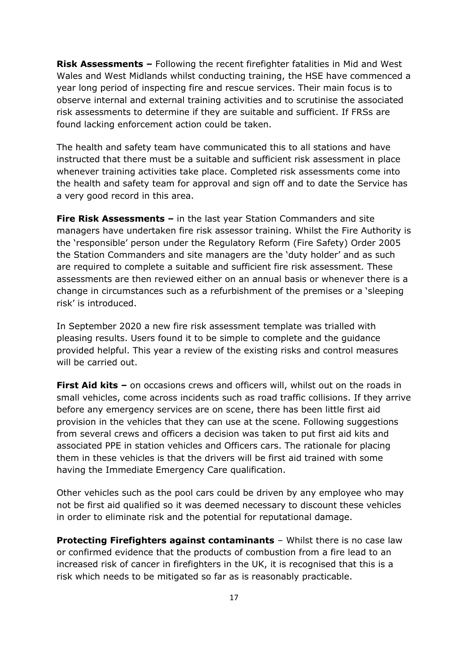**Risk Assessments –** Following the recent firefighter fatalities in Mid and West Wales and West Midlands whilst conducting training, the HSE have commenced a year long period of inspecting fire and rescue services. Their main focus is to observe internal and external training activities and to scrutinise the associated risk assessments to determine if they are suitable and sufficient. If FRSs are found lacking enforcement action could be taken.

The health and safety team have communicated this to all stations and have instructed that there must be a suitable and sufficient risk assessment in place whenever training activities take place. Completed risk assessments come into the health and safety team for approval and sign off and to date the Service has a very good record in this area.

**Fire Risk Assessments –** in the last year Station Commanders and site managers have undertaken fire risk assessor training. Whilst the Fire Authority is the 'responsible' person under the Regulatory Reform (Fire Safety) Order 2005 the Station Commanders and site managers are the 'duty holder' and as such are required to complete a suitable and sufficient fire risk assessment. These assessments are then reviewed either on an annual basis or whenever there is a change in circumstances such as a refurbishment of the premises or a 'sleeping risk' is introduced.

In September 2020 a new fire risk assessment template was trialled with pleasing results. Users found it to be simple to complete and the guidance provided helpful. This year a review of the existing risks and control measures will be carried out.

**First Aid kits –** on occasions crews and officers will, whilst out on the roads in small vehicles, come across incidents such as road traffic collisions. If they arrive before any emergency services are on scene, there has been little first aid provision in the vehicles that they can use at the scene. Following suggestions from several crews and officers a decision was taken to put first aid kits and associated PPE in station vehicles and Officers cars. The rationale for placing them in these vehicles is that the drivers will be first aid trained with some having the Immediate Emergency Care qualification.

Other vehicles such as the pool cars could be driven by any employee who may not be first aid qualified so it was deemed necessary to discount these vehicles in order to eliminate risk and the potential for reputational damage.

**Protecting Firefighters against contaminants** – Whilst there is no case law or confirmed evidence that the products of combustion from a fire lead to an increased risk of cancer in firefighters in the UK, it is recognised that this is a risk which needs to be mitigated so far as is reasonably practicable.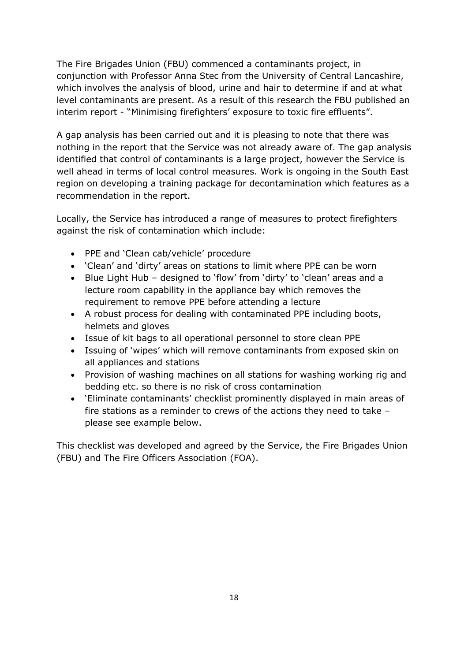The Fire Brigades Union (FBU) commenced a contaminants project, in conjunction with Professor Anna Stec from the University of Central Lancashire, which involves the analysis of blood, urine and hair to determine if and at what level contaminants are present. As a result of this research the FBU published an interim report - "Minimising firefighters' exposure to toxic fire effluents".

A gap analysis has been carried out and it is pleasing to note that there was nothing in the report that the Service was not already aware of. The gap analysis identified that control of contaminants is a large project, however the Service is well ahead in terms of local control measures. Work is ongoing in the South East region on developing a training package for decontamination which features as a recommendation in the report.

Locally, the Service has introduced a range of measures to protect firefighters against the risk of contamination which include:

- PPE and 'Clean cab/vehicle' procedure
- 'Clean' and 'dirty' areas on stations to limit where PPE can be worn
- Blue Light Hub designed to 'flow' from 'dirty' to 'clean' areas and a lecture room capability in the appliance bay which removes the requirement to remove PPE before attending a lecture
- A robust process for dealing with contaminated PPE including boots, helmets and gloves
- Issue of kit bags to all operational personnel to store clean PPE
- Issuing of 'wipes' which will remove contaminants from exposed skin on all appliances and stations
- Provision of washing machines on all stations for washing working rig and bedding etc. so there is no risk of cross contamination
- 'Eliminate contaminants' checklist prominently displayed in main areas of fire stations as a reminder to crews of the actions they need to take – please see example below.

This checklist was developed and agreed by the Service, the Fire Brigades Union (FBU) and The Fire Officers Association (FOA).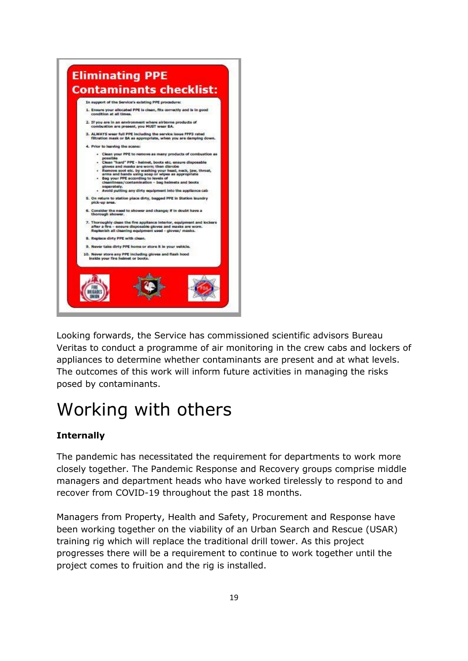

Looking forwards, the Service has commissioned scientific advisors Bureau Veritas to conduct a programme of air monitoring in the crew cabs and lockers of appliances to determine whether contaminants are present and at what levels. The outcomes of this work will inform future activities in managing the risks posed by contaminants.

# Working with others

#### **Internally**

The pandemic has necessitated the requirement for departments to work more closely together. The Pandemic Response and Recovery groups comprise middle managers and department heads who have worked tirelessly to respond to and recover from COVID-19 throughout the past 18 months.

Managers from Property, Health and Safety, Procurement and Response have been working together on the viability of an Urban Search and Rescue (USAR) training rig which will replace the traditional drill tower. As this project progresses there will be a requirement to continue to work together until the project comes to fruition and the rig is installed.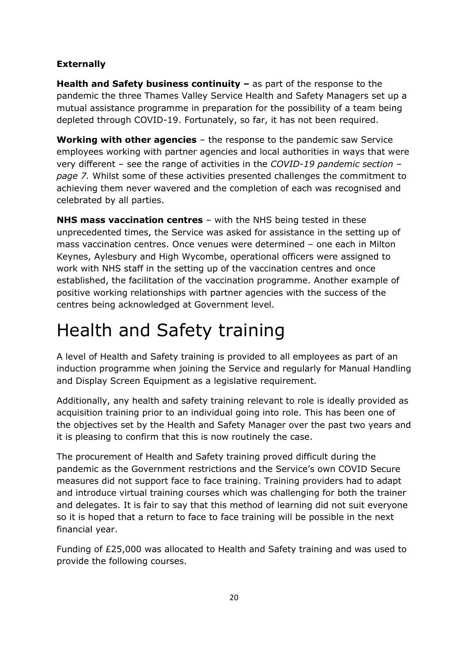#### **Externally**

**Health and Safety business continuity –** as part of the response to the pandemic the three Thames Valley Service Health and Safety Managers set up a mutual assistance programme in preparation for the possibility of a team being depleted through COVID-19. Fortunately, so far, it has not been required.

**Working with other agencies** – the response to the pandemic saw Service employees working with partner agencies and local authorities in ways that were very different – see the range of activities in the *COVID-19 pandemic section – page 7.* Whilst some of these activities presented challenges the commitment to achieving them never wavered and the completion of each was recognised and celebrated by all parties.

**NHS mass vaccination centres** – with the NHS being tested in these unprecedented times, the Service was asked for assistance in the setting up of mass vaccination centres. Once venues were determined – one each in Milton Keynes, Aylesbury and High Wycombe, operational officers were assigned to work with NHS staff in the setting up of the vaccination centres and once established, the facilitation of the vaccination programme. Another example of positive working relationships with partner agencies with the success of the centres being acknowledged at Government level.

## Health and Safety training

A level of Health and Safety training is provided to all employees as part of an induction programme when joining the Service and regularly for Manual Handling and Display Screen Equipment as a legislative requirement.

Additionally, any health and safety training relevant to role is ideally provided as acquisition training prior to an individual going into role. This has been one of the objectives set by the Health and Safety Manager over the past two years and it is pleasing to confirm that this is now routinely the case.

The procurement of Health and Safety training proved difficult during the pandemic as the Government restrictions and the Service's own COVID Secure measures did not support face to face training. Training providers had to adapt and introduce virtual training courses which was challenging for both the trainer and delegates. It is fair to say that this method of learning did not suit everyone so it is hoped that a return to face to face training will be possible in the next financial year.

Funding of £25,000 was allocated to Health and Safety training and was used to provide the following courses.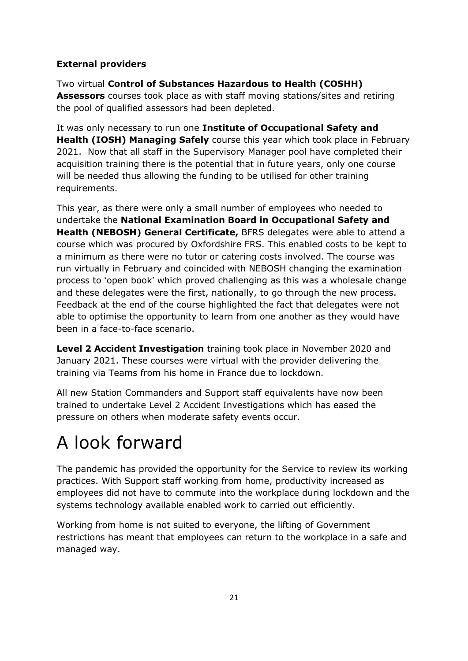#### **External providers**

Two virtual **Control of Substances Hazardous to Health (COSHH) Assessors** courses took place as with staff moving stations/sites and retiring the pool of qualified assessors had been depleted.

It was only necessary to run one **Institute of Occupational Safety and Health (IOSH) Managing Safely** course this year which took place in February 2021. Now that all staff in the Supervisory Manager pool have completed their acquisition training there is the potential that in future years, only one course will be needed thus allowing the funding to be utilised for other training requirements.

This year, as there were only a small number of employees who needed to undertake the **National Examination Board in Occupational Safety and Health (NEBOSH) General Certificate,** BFRS delegates were able to attend a course which was procured by Oxfordshire FRS. This enabled costs to be kept to a minimum as there were no tutor or catering costs involved. The course was run virtually in February and coincided with NEBOSH changing the examination process to 'open book' which proved challenging as this was a wholesale change and these delegates were the first, nationally, to go through the new process. Feedback at the end of the course highlighted the fact that delegates were not able to optimise the opportunity to learn from one another as they would have been in a face-to-face scenario.

**Level 2 Accident Investigation** training took place in November 2020 and January 2021. These courses were virtual with the provider delivering the training via Teams from his home in France due to lockdown.

All new Station Commanders and Support staff equivalents have now been trained to undertake Level 2 Accident Investigations which has eased the pressure on others when moderate safety events occur.

# A look forward

The pandemic has provided the opportunity for the Service to review its working practices. With Support staff working from home, productivity increased as employees did not have to commute into the workplace during lockdown and the systems technology available enabled work to carried out efficiently.

Working from home is not suited to everyone, the lifting of Government restrictions has meant that employees can return to the workplace in a safe and managed way.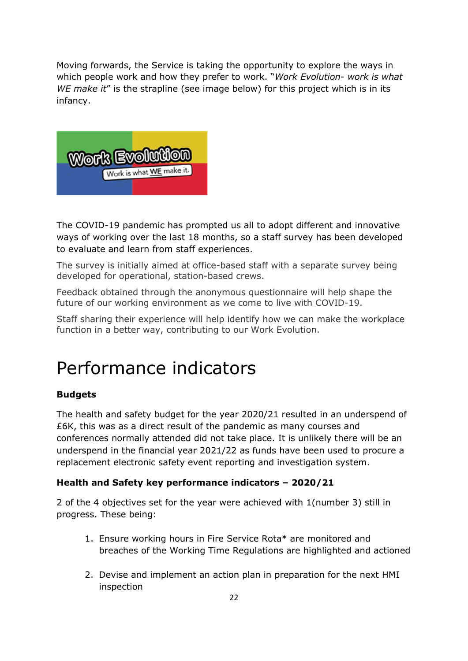Moving forwards, the Service is taking the opportunity to explore the ways in which people work and how they prefer to work. "*Work Evolution- work is what WE make it*" is the strapline (see image below) for this project which is in its infancy.



The COVID-19 pandemic has prompted us all to adopt different and innovative ways of working over the last 18 months, so a staff survey has been developed to evaluate and learn from staff experiences.

The survey is initially aimed at office-based staff with a separate survey being developed for operational, station-based crews.

Feedback obtained through the anonymous questionnaire will help shape the future of our working environment as we come to live with COVID-19.

Staff sharing their experience will help identify how we can make the workplace function in a better way, contributing to our Work Evolution.

## Performance indicators

#### **Budgets**

The health and safety budget for the year 2020/21 resulted in an underspend of £6K, this was as a direct result of the pandemic as many courses and conferences normally attended did not take place. It is unlikely there will be an underspend in the financial year 2021/22 as funds have been used to procure a replacement electronic safety event reporting and investigation system.

#### **Health and Safety key performance indicators – 2020/21**

2 of the 4 objectives set for the year were achieved with 1(number 3) still in progress. These being:

- 1. Ensure working hours in Fire Service Rota\* are monitored and breaches of the Working Time Regulations are highlighted and actioned
- 2. Devise and implement an action plan in preparation for the next HMI inspection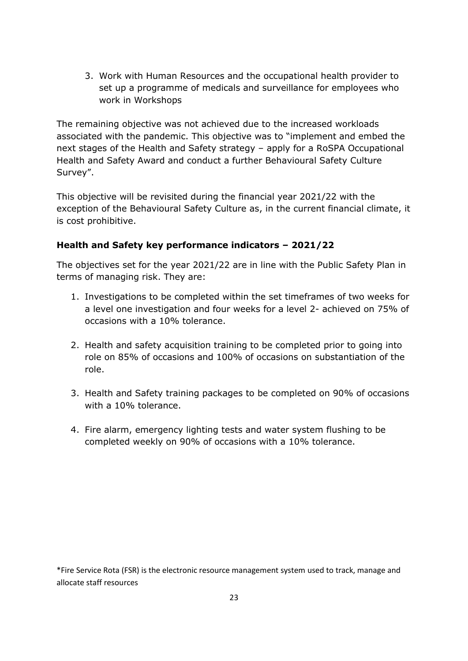3. Work with Human Resources and the occupational health provider to set up a programme of medicals and surveillance for employees who work in Workshops

The remaining objective was not achieved due to the increased workloads associated with the pandemic. This objective was to "implement and embed the next stages of the Health and Safety strategy – apply for a RoSPA Occupational Health and Safety Award and conduct a further Behavioural Safety Culture Survey".

This objective will be revisited during the financial year 2021/22 with the exception of the Behavioural Safety Culture as, in the current financial climate, it is cost prohibitive.

#### **Health and Safety key performance indicators – 2021/22**

The objectives set for the year 2021/22 are in line with the Public Safety Plan in terms of managing risk. They are:

- 1. Investigations to be completed within the set timeframes of two weeks for a level one investigation and four weeks for a level 2- achieved on 75% of occasions with a 10% tolerance.
- 2. Health and safety acquisition training to be completed prior to going into role on 85% of occasions and 100% of occasions on substantiation of the role.
- 3. Health and Safety training packages to be completed on 90% of occasions with a 10% tolerance.
- 4. Fire alarm, emergency lighting tests and water system flushing to be completed weekly on 90% of occasions with a 10% tolerance.

\*Fire Service Rota (FSR) is the electronic resource management system used to track, manage and allocate staff resources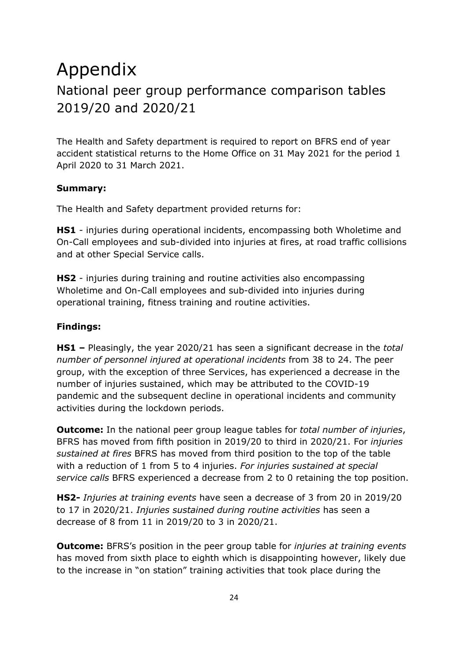#### Appendix National peer group performance comparison tables 2019/20 and 2020/21

The Health and Safety department is required to report on BFRS end of year accident statistical returns to the Home Office on 31 May 2021 for the period 1 April 2020 to 31 March 2021.

#### **Summary:**

The Health and Safety department provided returns for:

**HS1** - injuries during operational incidents, encompassing both Wholetime and On-Call employees and sub-divided into injuries at fires, at road traffic collisions and at other Special Service calls.

**HS2** - injuries during training and routine activities also encompassing Wholetime and On-Call employees and sub-divided into injuries during operational training, fitness training and routine activities.

#### **Findings:**

**HS1 –** Pleasingly, the year 2020/21 has seen a significant decrease in the *total number of personnel injured at operational incidents* from 38 to 24. The peer group, with the exception of three Services, has experienced a decrease in the number of injuries sustained, which may be attributed to the COVID-19 pandemic and the subsequent decline in operational incidents and community activities during the lockdown periods.

**Outcome:** In the national peer group league tables for *total number of injuries*, BFRS has moved from fifth position in 2019/20 to third in 2020/21. For *injuries sustained at fires* BFRS has moved from third position to the top of the table with a reduction of 1 from 5 to 4 injuries. *For injuries sustained at special service calls* BFRS experienced a decrease from 2 to 0 retaining the top position.

**HS2-** *Injuries at training events* have seen a decrease of 3 from 20 in 2019/20 to 17 in 2020/21. *Injuries sustained during routine activities* has seen a decrease of 8 from 11 in 2019/20 to 3 in 2020/21.

**Outcome:** BFRS's position in the peer group table for *injuries at training events* has moved from sixth place to eighth which is disappointing however, likely due to the increase in "on station" training activities that took place during the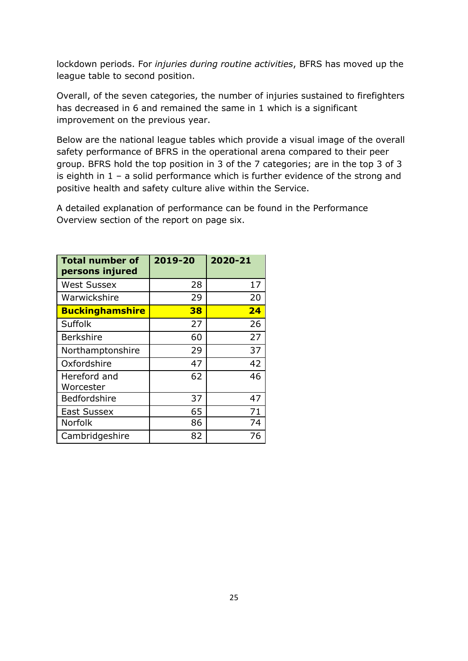lockdown periods. For *injuries during routine activities*, BFRS has moved up the league table to second position.

Overall, of the seven categories, the number of injuries sustained to firefighters has decreased in 6 and remained the same in 1 which is a significant improvement on the previous year.

Below are the national league tables which provide a visual image of the overall safety performance of BFRS in the operational arena compared to their peer group. BFRS hold the top position in 3 of the 7 categories; are in the top 3 of 3 is eighth in 1 – a solid performance which is further evidence of the strong and positive health and safety culture alive within the Service.

A detailed explanation of performance can be found in the Performance Overview section of the report on page six.

| <b>Total number of</b><br>persons injured | 2019-20 | 2020-21 |
|-------------------------------------------|---------|---------|
| <b>West Sussex</b>                        | 28      | 17      |
| Warwickshire                              | 29      | 20      |
| <b>Buckinghamshire</b>                    | 38      | 24      |
| <b>Suffolk</b>                            | 27      | 26      |
| <b>Berkshire</b>                          | 60      | 27      |
| Northamptonshire                          | 29      | 37      |
| Oxfordshire                               | 47      | 42      |
| Hereford and<br>Worcester                 | 62      | 46      |
| Bedfordshire                              | 37      | 47      |
| <b>East Sussex</b>                        | 65      | 71      |
| Norfolk                                   | 86      | 74      |
| Cambridgeshire                            | 82      | 76      |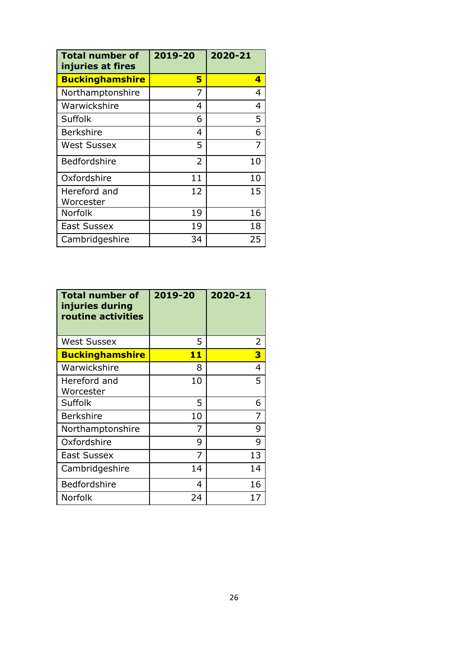| <b>Total number of</b><br>injuries at fires | 2019-20        | 2020-21 |
|---------------------------------------------|----------------|---------|
| <b>Buckinghamshire</b>                      | 5              | 4       |
| Northamptonshire                            | 7              | 4       |
| Warwickshire                                | 4              | 4       |
| Suffolk                                     | 6              | 5       |
| <b>Berkshire</b>                            | 4              | 6       |
| West Sussex                                 | 5              | 7       |
| <b>Bedfordshire</b>                         | $\overline{2}$ | 10      |
| Oxfordshire                                 | 11             | 10      |
| Hereford and<br>Worcester                   | 12             | 15      |
| <b>Norfolk</b>                              | 19             | 16      |
| <b>East Sussex</b>                          | 19             | 18      |
| Cambridgeshire                              | 34             | 25      |

| <b>Total number of</b><br>injuries during<br>routine activities | 2019-20 | 2020-21 |
|-----------------------------------------------------------------|---------|---------|
| <b>West Sussex</b>                                              | 5       | 2       |
| <b>Buckinghamshire</b>                                          | 11      | 3       |
| Warwickshire                                                    | 8       | 4       |
| Hereford and<br>Worcester                                       | 10      | 5       |
| <b>Suffolk</b>                                                  | 5       | 6       |
| <b>Berkshire</b>                                                | 10      | 7       |
| Northamptonshire                                                | 7       | 9       |
| Oxfordshire                                                     | 9       | 9       |
| East Sussex                                                     | 7       | 13      |
| Cambridgeshire                                                  | 14      | 14      |
| <b>Bedfordshire</b>                                             | 4       | 16      |
| <b>Norfolk</b>                                                  | 24      | 17      |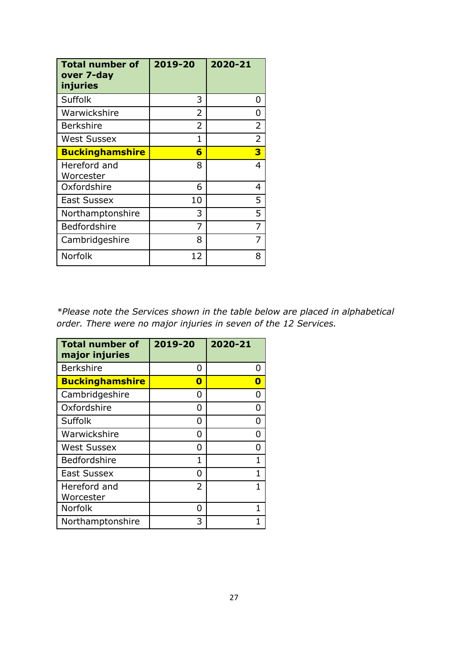| <b>Total number of</b><br>over 7-day<br>injuries | 2019-20 | 2020-21        |
|--------------------------------------------------|---------|----------------|
| Suffolk                                          | 3       | 0              |
| Warwickshire                                     | 2       | O              |
| <b>Berkshire</b>                                 | 2       | 2              |
| <b>West Sussex</b>                               | 1       | $\overline{2}$ |
| <b>Buckinghamshire</b>                           | 6       | 3              |
| Hereford and<br>Worcester                        | 8       | 4              |
| Oxfordshire                                      | 6       | 4              |
| <b>East Sussex</b>                               | 10      | 5              |
| Northamptonshire                                 | 3       | 5              |
| Bedfordshire                                     | 7       | 7              |
| Cambridgeshire                                   | 8       | 7              |
| Norfolk                                          | 12      | 8              |

*\*Please note the Services shown in the table below are placed in alphabetical order. There were no major injuries in seven of the 12 Services.*

| <b>Total number of</b><br>major injuries | 2019-20       | 2020-21 |
|------------------------------------------|---------------|---------|
| <b>Berkshire</b>                         | O             |         |
| <b>Buckinghamshire</b>                   | n             |         |
| Cambridgeshire                           | O             |         |
| Oxfordshire                              | O             |         |
| <b>Suffolk</b>                           | O             |         |
| Warwickshire                             | O             |         |
| <b>West Sussex</b>                       | O             |         |
| Bedfordshire                             | 1             |         |
| East Sussex                              | n             |         |
| Hereford and                             | $\mathcal{P}$ |         |
| Worcester                                |               |         |
| Norfolk                                  | n             |         |
| Northamptonshire                         | 3             |         |